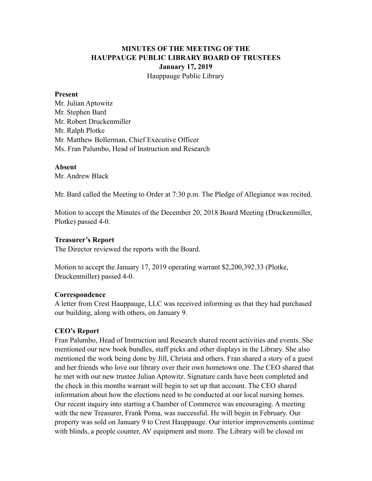# **MINUTES OF THE MEETING OF THE HAUPPAUGE PUBLIC LIBRARY BOARD OF TRUSTEES January 17, 2019** Hauppauge Public Library

#### **Present**

Mr. Julian Aptowitz Mr. Stephen Bard Mr. Robert Druckenmiller Mr. Ralph Plotke Mr. Matthew Bollerman, Chief Executive Officer Ms. Fran Palumbo, Head of Instruction and Research

### **Absent**

Mr. Andrew Black

Mr. Bard called the Meeting to Order at 7:30 p.m. The Pledge of Allegiance was recited.

Motion to accept the Minutes of the December 20, 2018 Board Meeting (Druckenmiller, Plotke) passed 4-0.

#### **Treasurer's Report**

The Director reviewed the reports with the Board.

Motion to accept the January 17, 2019 operating warrant \$2,200,392.33 (Plotke, Druckenmiller) passed 4-0.

### **Correspondence**

A letter from Crest Hauppauge, LLC was received informing us that they had purchased our building, along with others, on January 9.

### **CEO's Report**

Fran Palumbo, Head of Instruction and Research shared recent activities and events. She mentioned our new book bundles, staff picks and other displays in the Library. She also mentioned the work being done by Jill, Christa and others. Fran shared a story of a guest and her friends who love our library over their own hometown one. The CEO shared that he met with our new trustee Julian Aptowitz. Signature cards have been completed and the check in this months warrant will begin to set up that account. The CEO shared information about how the elections need to be conducted at our local nursing homes. Our recent inquiry into starting a Chamber of Commerce was encouraging. A meeting with the new Treasurer, Frank Poma, was successful. He will begin in February. Our property was sold on January 9 to Crest Hauppauge. Our interior improvements continue with blinds, a people counter, AV equipment and more. The Library will be closed on